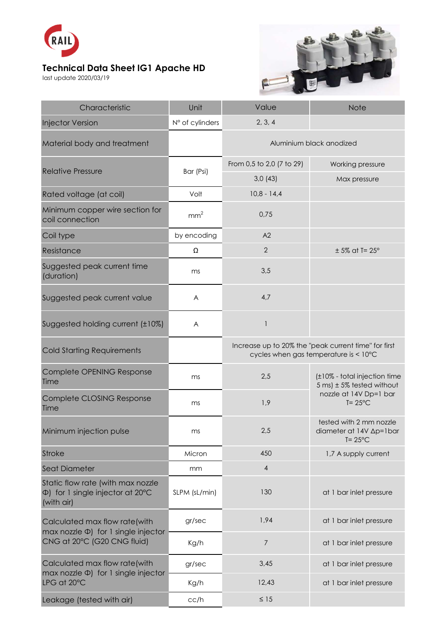

## **Technical Data Sheet IG1 Apache HD**

last update 2020/03/19



| Characteristic                                                                                            | Unit            | Value                                                                                         | <b>Note</b>                                                                                                   |
|-----------------------------------------------------------------------------------------------------------|-----------------|-----------------------------------------------------------------------------------------------|---------------------------------------------------------------------------------------------------------------|
| <b>Injector Version</b>                                                                                   | N° of cylinders | 2, 3, 4                                                                                       |                                                                                                               |
| Material body and treatment                                                                               |                 | Aluminium black anodized                                                                      |                                                                                                               |
| <b>Relative Pressure</b>                                                                                  | Bar (Psi)       | From 0,5 to 2,0 (7 to 29)                                                                     | Working pressure                                                                                              |
|                                                                                                           |                 | 3,0(43)                                                                                       | Max pressure                                                                                                  |
| Rated voltage (at coil)                                                                                   | Volt            | $10,8 - 14,4$                                                                                 |                                                                                                               |
| Minimum copper wire section for<br>coil connection                                                        | mm <sup>2</sup> | 0,75                                                                                          |                                                                                                               |
| Coil type                                                                                                 | by encoding     | A2                                                                                            |                                                                                                               |
| Resistance                                                                                                | Ω               | $\mathbf{2}$                                                                                  | $± 5\%$ at T= 25°                                                                                             |
| Suggested peak current time<br>(duration)                                                                 | ms              | 3,5                                                                                           |                                                                                                               |
| Suggested peak current value                                                                              | A               | 4,7                                                                                           |                                                                                                               |
| Suggested holding current (±10%)                                                                          | A               | $\mathbf{I}$                                                                                  |                                                                                                               |
| <b>Cold Starting Requirements</b>                                                                         |                 | Increase up to 20% the "peak current time" for first<br>cycles when gas temperature is < 10°C |                                                                                                               |
| Complete OPENING Response<br>Time                                                                         | ms              | 2,5                                                                                           | (±10% - total injection time<br>5 ms) $\pm$ 5% tested without<br>nozzle at 14V Dp=1 bar<br>$T = 25^{\circ}$ C |
| Complete CLOSING Response<br>Time                                                                         | ms              | 1,9                                                                                           |                                                                                                               |
| Minimum injection pulse                                                                                   | ms              | 2,5                                                                                           | tested with 2 mm nozzle<br>diameter at 14V ∆p=1bar<br>$T = 25^{\circ}$ C                                      |
| <b>Stroke</b>                                                                                             | Micron          | 450                                                                                           | 1,7 A supply current                                                                                          |
| Seat Diameter                                                                                             | mm              | $\sqrt{4}$                                                                                    |                                                                                                               |
| Static flow rate (with max nozzle<br>$\Phi$ ) for 1 single injector at 20 $\degree$ C<br>(with air)       | SLPM (sL/min)   | 130                                                                                           | at 1 bar inlet pressure                                                                                       |
| Calculated max flow rate(with<br>max nozzle $\Phi$ ) for 1 single injector<br>CNG at 20°C (G20 CNG fluid) | gr/sec          | 1,94                                                                                          | at 1 bar inlet pressure                                                                                       |
|                                                                                                           | Kg/h            | $\overline{7}$                                                                                | at 1 bar inlet pressure                                                                                       |
| Calculated max flow rate(with<br>$max$ nozzle $\Phi$ ) for 1 single injector<br>LPG at 20°C               | gr/sec          | 3,45                                                                                          | at 1 bar inlet pressure                                                                                       |
|                                                                                                           | Kg/h            | 12,43                                                                                         | at 1 bar inlet pressure                                                                                       |
| Leakage (tested with air)                                                                                 | cc/h            | $\leq 15$                                                                                     |                                                                                                               |